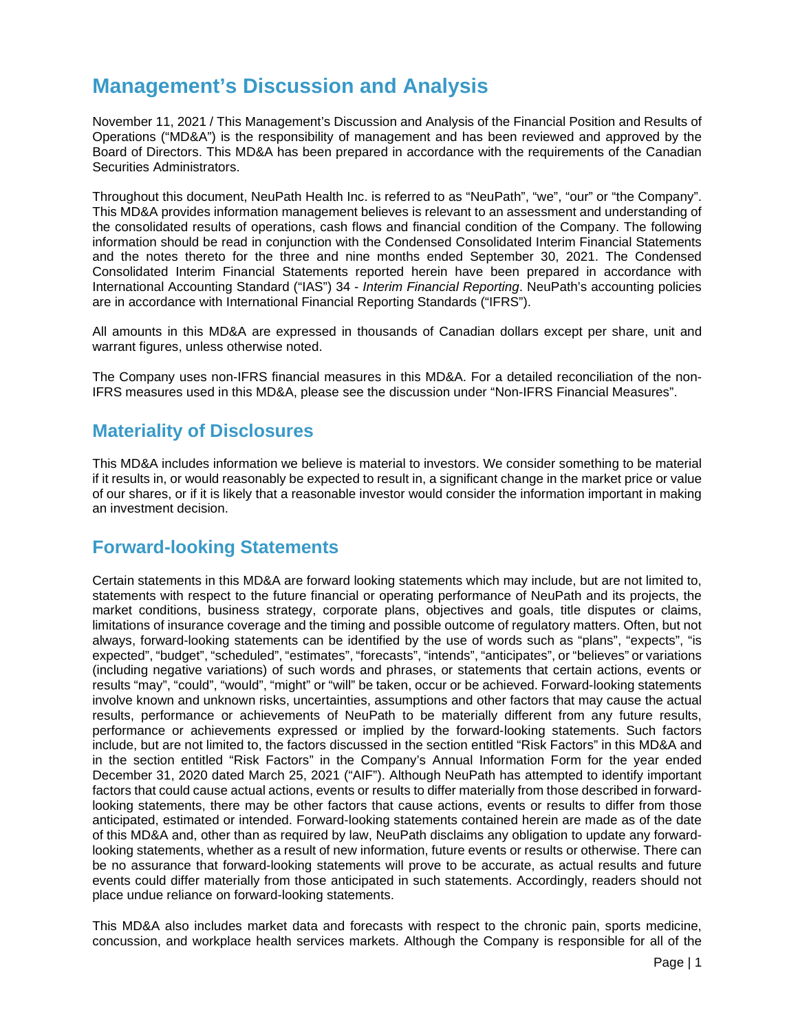# **Management's Discussion and Analysis**

November 11, 2021 / This Management's Discussion and Analysis of the Financial Position and Results of Operations ("MD&A") is the responsibility of management and has been reviewed and approved by the Board of Directors. This MD&A has been prepared in accordance with the requirements of the Canadian Securities Administrators.

Throughout this document, NeuPath Health Inc. is referred to as "NeuPath", "we", "our" or "the Company". This MD&A provides information management believes is relevant to an assessment and understanding of the consolidated results of operations, cash flows and financial condition of the Company. The following information should be read in conjunction with the Condensed Consolidated Interim Financial Statements and the notes thereto for the three and nine months ended September 30, 2021. The Condensed Consolidated Interim Financial Statements reported herein have been prepared in accordance with International Accounting Standard ("IAS") 34 - *Interim Financial Reporting*. NeuPath's accounting policies are in accordance with International Financial Reporting Standards ("IFRS").

All amounts in this MD&A are expressed in thousands of Canadian dollars except per share, unit and warrant figures, unless otherwise noted.

The Company uses non-IFRS financial measures in this MD&A. For a detailed reconciliation of the non-IFRS measures used in this MD&A, please see the discussion under "Non-IFRS Financial Measures".

## **Materiality of Disclosures**

This MD&A includes information we believe is material to investors. We consider something to be material if it results in, or would reasonably be expected to result in, a significant change in the market price or value of our shares, or if it is likely that a reasonable investor would consider the information important in making an investment decision.

## **Forward-looking Statements**

Certain statements in this MD&A are forward looking statements which may include, but are not limited to, statements with respect to the future financial or operating performance of NeuPath and its projects, the market conditions, business strategy, corporate plans, objectives and goals, title disputes or claims, limitations of insurance coverage and the timing and possible outcome of regulatory matters. Often, but not always, forward-looking statements can be identified by the use of words such as "plans", "expects", "is expected", "budget", "scheduled", "estimates", "forecasts", "intends", "anticipates", or "believes" or variations (including negative variations) of such words and phrases, or statements that certain actions, events or results "may", "could", "would", "might" or "will" be taken, occur or be achieved. Forward-looking statements involve known and unknown risks, uncertainties, assumptions and other factors that may cause the actual results, performance or achievements of NeuPath to be materially different from any future results, performance or achievements expressed or implied by the forward-looking statements. Such factors include, but are not limited to, the factors discussed in the section entitled "Risk Factors" in this MD&A and in the section entitled "Risk Factors" in the Company's Annual Information Form for the year ended December 31, 2020 dated March 25, 2021 ("AIF"). Although NeuPath has attempted to identify important factors that could cause actual actions, events or results to differ materially from those described in forwardlooking statements, there may be other factors that cause actions, events or results to differ from those anticipated, estimated or intended. Forward-looking statements contained herein are made as of the date of this MD&A and, other than as required by law, NeuPath disclaims any obligation to update any forwardlooking statements, whether as a result of new information, future events or results or otherwise. There can be no assurance that forward-looking statements will prove to be accurate, as actual results and future events could differ materially from those anticipated in such statements. Accordingly, readers should not place undue reliance on forward-looking statements.

This MD&A also includes market data and forecasts with respect to the chronic pain, sports medicine, concussion, and workplace health services markets. Although the Company is responsible for all of the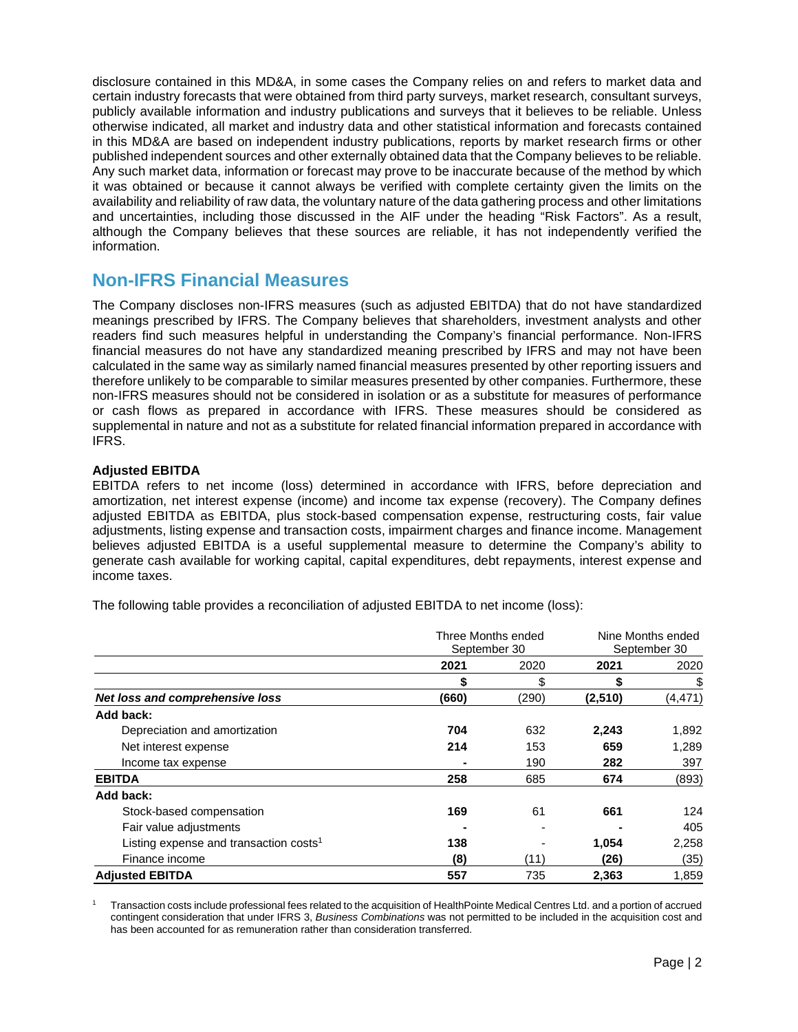disclosure contained in this MD&A, in some cases the Company relies on and refers to market data and certain industry forecasts that were obtained from third party surveys, market research, consultant surveys, publicly available information and industry publications and surveys that it believes to be reliable. Unless otherwise indicated, all market and industry data and other statistical information and forecasts contained in this MD&A are based on independent industry publications, reports by market research firms or other published independent sources and other externally obtained data that the Company believes to be reliable. Any such market data, information or forecast may prove to be inaccurate because of the method by which it was obtained or because it cannot always be verified with complete certainty given the limits on the availability and reliability of raw data, the voluntary nature of the data gathering process and other limitations and uncertainties, including those discussed in the AIF under the heading "Risk Factors". As a result, although the Company believes that these sources are reliable, it has not independently verified the information.

## **Non-IFRS Financial Measures**

The Company discloses non-IFRS measures (such as adjusted EBITDA) that do not have standardized meanings prescribed by IFRS. The Company believes that shareholders, investment analysts and other readers find such measures helpful in understanding the Company's financial performance. Non-IFRS financial measures do not have any standardized meaning prescribed by IFRS and may not have been calculated in the same way as similarly named financial measures presented by other reporting issuers and therefore unlikely to be comparable to similar measures presented by other companies. Furthermore, these non-IFRS measures should not be considered in isolation or as a substitute for measures of performance or cash flows as prepared in accordance with IFRS. These measures should be considered as supplemental in nature and not as a substitute for related financial information prepared in accordance with IFRS.

## **Adjusted EBITDA**

EBITDA refers to net income (loss) determined in accordance with IFRS, before depreciation and amortization, net interest expense (income) and income tax expense (recovery). The Company defines adjusted EBITDA as EBITDA, plus stock-based compensation expense, restructuring costs, fair value adjustments, listing expense and transaction costs, impairment charges and finance income. Management believes adjusted EBITDA is a useful supplemental measure to determine the Company's ability to generate cash available for working capital, capital expenditures, debt repayments, interest expense and income taxes.

The following table provides a reconciliation of adjusted EBITDA to net income (loss):

|                                                    | Three Months ended |       | Nine Months ended |          |
|----------------------------------------------------|--------------------|-------|-------------------|----------|
|                                                    | September 30       |       | September 30      |          |
|                                                    | 2021               | 2020  | 2021              | 2020     |
|                                                    |                    | \$    |                   | \$       |
| Net loss and comprehensive loss                    | (660)              | (290) | (2, 510)          | (4, 471) |
| Add back:                                          |                    |       |                   |          |
| Depreciation and amortization                      | 704                | 632   | 2,243             | 1,892    |
| Net interest expense                               | 214                | 153   | 659               | 1,289    |
| Income tax expense                                 |                    | 190   | 282               | 397      |
| <b>EBITDA</b>                                      | 258                | 685   | 674               | (893)    |
| Add back:                                          |                    |       |                   |          |
| Stock-based compensation                           | 169                | 61    | 661               | 124      |
| Fair value adjustments                             |                    |       |                   | 405      |
| Listing expense and transaction costs <sup>1</sup> | 138                |       | 1,054             | 2,258    |
| Finance income                                     | (8)                | (11)  | (26)              | (35)     |
| <b>Adjusted EBITDA</b>                             | 557                | 735   | 2,363             | 1,859    |

<sup>1</sup> Transaction costs include professional fees related to the acquisition of HealthPointe Medical Centres Ltd. and a portion of accrued contingent consideration that under IFRS 3, *Business Combinations* was not permitted to be included in the acquisition cost and has been accounted for as remuneration rather than consideration transferred.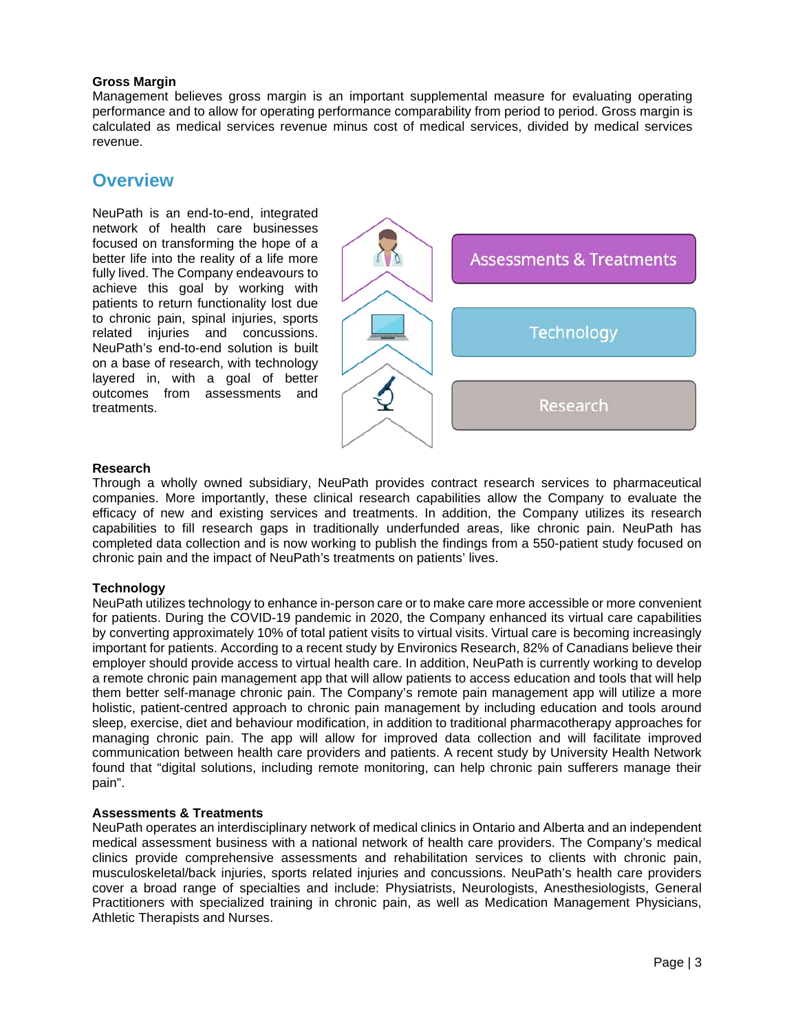## **Gross Margin**

Management believes gross margin is an important supplemental measure for evaluating operating performance and to allow for operating performance comparability from period to period. Gross margin is calculated as medical services revenue minus cost of medical services, divided by medical services revenue.

## **Overview**

NeuPath is an end-to-end, integrated network of health care businesses focused on transforming the hope of a better life into the reality of a life more fully lived. The Company endeavours to achieve this goal by working with patients to return functionality lost due to chronic pain, spinal injuries, sports related injuries and concussions. NeuPath's end-to-end solution is built on a base of research, with technology layered in, with a goal of better outcomes from assessments and treatments.



## **Research**

Through a wholly owned subsidiary, NeuPath provides contract research services to pharmaceutical companies. More importantly, these clinical research capabilities allow the Company to evaluate the efficacy of new and existing services and treatments. In addition, the Company utilizes its research capabilities to fill research gaps in traditionally underfunded areas, like chronic pain. NeuPath has completed data collection and is now working to publish the findings from a 550-patient study focused on chronic pain and the impact of NeuPath's treatments on patients' lives.

## **Technology**

NeuPath utilizes technology to enhance in-person care or to make care more accessible or more convenient for patients. During the COVID-19 pandemic in 2020, the Company enhanced its virtual care capabilities by converting approximately 10% of total patient visits to virtual visits. Virtual care is becoming increasingly important for patients. According to a recent study by Environics Research, 82% of Canadians believe their employer should provide access to virtual health care. In addition, NeuPath is currently working to develop a remote chronic pain management app that will allow patients to access education and tools that will help them better self-manage chronic pain. The Company's remote pain management app will utilize a more holistic, patient-centred approach to chronic pain management by including education and tools around sleep, exercise, diet and behaviour modification, in addition to traditional pharmacotherapy approaches for managing chronic pain. The app will allow for improved data collection and will facilitate improved communication between health care providers and patients. A recent study by University Health Network found that "digital solutions, including remote monitoring, can help chronic pain sufferers manage their pain".

## **Assessments & Treatments**

NeuPath operates an interdisciplinary network of medical clinics in Ontario and Alberta and an independent medical assessment business with a national network of health care providers. The Company's medical clinics provide comprehensive assessments and rehabilitation services to clients with chronic pain, musculoskeletal/back injuries, sports related injuries and concussions. NeuPath's health care providers cover a broad range of specialties and include: Physiatrists, Neurologists, Anesthesiologists, General Practitioners with specialized training in chronic pain, as well as Medication Management Physicians, Athletic Therapists and Nurses.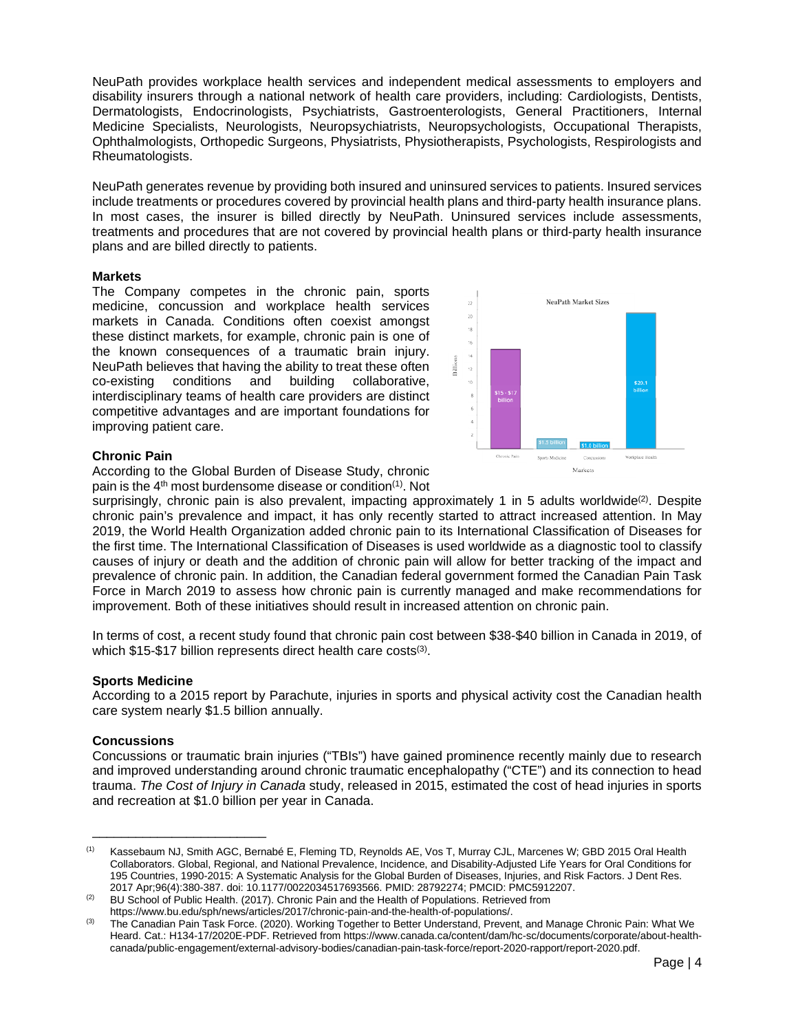NeuPath provides workplace health services and independent medical assessments to employers and disability insurers through a national network of health care providers, including: Cardiologists, Dentists, Dermatologists, Endocrinologists, Psychiatrists, Gastroenterologists, General Practitioners, Internal Medicine Specialists, Neurologists, Neuropsychiatrists, Neuropsychologists, Occupational Therapists, Ophthalmologists, Orthopedic Surgeons, Physiatrists, Physiotherapists, Psychologists, Respirologists and Rheumatologists.

NeuPath generates revenue by providing both insured and uninsured services to patients. Insured services include treatments or procedures covered by provincial health plans and third-party health insurance plans. In most cases, the insurer is billed directly by NeuPath. Uninsured services include assessments, treatments and procedures that are not covered by provincial health plans or third-party health insurance plans and are billed directly to patients.

## **Markets**

The Company competes in the chronic pain, sports medicine, concussion and workplace health services markets in Canada. Conditions often coexist amongst these distinct markets, for example, chronic pain is one of the known consequences of a traumatic brain injury. NeuPath believes that having the ability to treat these often co-existing conditions and building collaborative, interdisciplinary teams of health care providers are distinct competitive advantages and are important foundations for improving patient care.



## **Chronic Pain**

According to the Global Burden of Disease Study, chronic pain is the 4th most burdensome disease or condition(1). Not

surprisingly, chronic pain is also prevalent, impacting approximately 1 in 5 adults worldwide<sup>(2)</sup>. Despite chronic pain's prevalence and impact, it has only recently started to attract increased attention. In May 2019, the World Health Organization added chronic pain to its International Classification of Diseases for the first time. The International Classification of Diseases is used worldwide as a diagnostic tool to classify causes of injury or death and the addition of chronic pain will allow for better tracking of the impact and prevalence of chronic pain. In addition, the Canadian federal government formed the Canadian Pain Task Force in March 2019 to assess how chronic pain is currently managed and make recommendations for improvement. Both of these initiatives should result in increased attention on chronic pain.

In terms of cost, a recent study found that chronic pain cost between \$38-\$40 billion in Canada in 2019, of which \$15-\$17 billion represents direct health care costs<sup>(3)</sup>.

## **Sports Medicine**

According to a 2015 report by Parachute, injuries in sports and physical activity cost the Canadian health care system nearly \$1.5 billion annually.

## **Concussions**

\_\_\_\_\_\_\_\_\_\_\_\_\_\_\_\_\_\_\_\_\_\_\_\_

Concussions or traumatic brain injuries ("TBIs") have gained prominence recently mainly due to research and improved understanding around chronic traumatic encephalopathy ("CTE") and its connection to head trauma. *The Cost of Injury in Canada* study, released in 2015, estimated the cost of head injuries in sports and recreation at \$1.0 billion per year in Canada.

<sup>(1)</sup> Kassebaum NJ, Smith AGC, Bernabé E, Fleming TD, Reynolds AE, Vos T, Murray CJL, Marcenes W; GBD 2015 Oral Health Collaborators. Global, Regional, and National Prevalence, Incidence, and Disability-Adjusted Life Years for Oral Conditions for 195 Countries, 1990-2015: A Systematic Analysis for the Global Burden of Diseases, Injuries, and Risk Factors. J Dent Res. 2017 Apr;96(4):380-387. doi: 10.1177/0022034517693566. PMID: 28792274; PMCID: PMC5912207.

<sup>&</sup>lt;sup>(2)</sup> BU School of Public Health. (2017). Chronic Pain and the Health of Populations. Retrieved from

https://www.bu.edu/sph/news/articles/2017/chronic-pain-and-the-health-of-populations/.

<sup>&</sup>lt;sup>(3)</sup> The Canadian Pain Task Force. (2020). Working Together to Better Understand, Prevent, and Manage Chronic Pain: What We Heard. Cat.: H134-17/2020E-PDF. Retrieved from https://www.canada.ca/content/dam/hc-sc/documents/corporate/about-healthcanada/public-engagement/external-advisory-bodies/canadian-pain-task-force/report-2020-rapport/report-2020.pdf.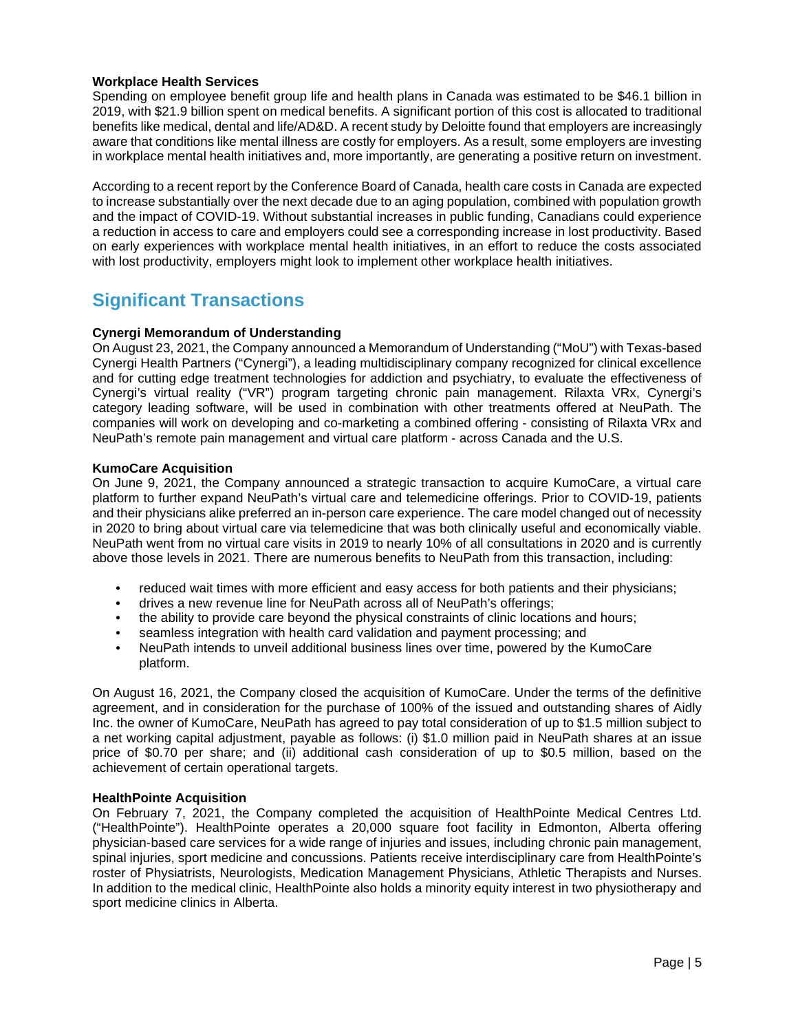## **Workplace Health Services**

Spending on employee benefit group life and health plans in Canada was estimated to be \$46.1 billion in 2019, with \$21.9 billion spent on medical benefits. A significant portion of this cost is allocated to traditional benefits like medical, dental and life/AD&D. A recent study by Deloitte found that employers are increasingly aware that conditions like mental illness are costly for employers. As a result, some employers are investing in workplace mental health initiatives and, more importantly, are generating a positive return on investment.

According to a recent report by the Conference Board of Canada, health care costs in Canada are expected to increase substantially over the next decade due to an aging population, combined with population growth and the impact of COVID-19. Without substantial increases in public funding, Canadians could experience a reduction in access to care and employers could see a corresponding increase in lost productivity. Based on early experiences with workplace mental health initiatives, in an effort to reduce the costs associated with lost productivity, employers might look to implement other workplace health initiatives.

# **Significant Transactions**

## **Cynergi Memorandum of Understanding**

On August 23, 2021, the Company announced a Memorandum of Understanding ("MoU") with Texas-based Cynergi Health Partners ("Cynergi"), a leading multidisciplinary company recognized for clinical excellence and for cutting edge treatment technologies for addiction and psychiatry, to evaluate the effectiveness of Cynergi's virtual reality ("VR") program targeting chronic pain management. Rilaxta VRx, Cynergi's category leading software, will be used in combination with other treatments offered at NeuPath. The companies will work on developing and co-marketing a combined offering - consisting of Rilaxta VRx and NeuPath's remote pain management and virtual care platform - across Canada and the U.S.

## **KumoCare Acquisition**

On June 9, 2021, the Company announced a strategic transaction to acquire KumoCare, a virtual care platform to further expand NeuPath's virtual care and telemedicine offerings. Prior to COVID-19, patients and their physicians alike preferred an in-person care experience. The care model changed out of necessity in 2020 to bring about virtual care via telemedicine that was both clinically useful and economically viable. NeuPath went from no virtual care visits in 2019 to nearly 10% of all consultations in 2020 and is currently above those levels in 2021. There are numerous benefits to NeuPath from this transaction, including:

- reduced wait times with more efficient and easy access for both patients and their physicians;
- drives a new revenue line for NeuPath across all of NeuPath's offerings;
- the ability to provide care beyond the physical constraints of clinic locations and hours;
- seamless integration with health card validation and payment processing; and
- NeuPath intends to unveil additional business lines over time, powered by the KumoCare platform.

On August 16, 2021, the Company closed the acquisition of KumoCare. Under the terms of the definitive agreement, and in consideration for the purchase of 100% of the issued and outstanding shares of Aidly Inc. the owner of KumoCare, NeuPath has agreed to pay total consideration of up to \$1.5 million subject to a net working capital adjustment, payable as follows: (i) \$1.0 million paid in NeuPath shares at an issue price of \$0.70 per share; and (ii) additional cash consideration of up to \$0.5 million, based on the achievement of certain operational targets.

## **HealthPointe Acquisition**

On February 7, 2021, the Company completed the acquisition of HealthPointe Medical Centres Ltd. ("HealthPointe"). HealthPointe operates a 20,000 square foot facility in Edmonton, Alberta offering physician-based care services for a wide range of injuries and issues, including chronic pain management, spinal injuries, sport medicine and concussions. Patients receive interdisciplinary care from HealthPointe's roster of Physiatrists, Neurologists, Medication Management Physicians, Athletic Therapists and Nurses. In addition to the medical clinic, HealthPointe also holds a minority equity interest in two physiotherapy and sport medicine clinics in Alberta.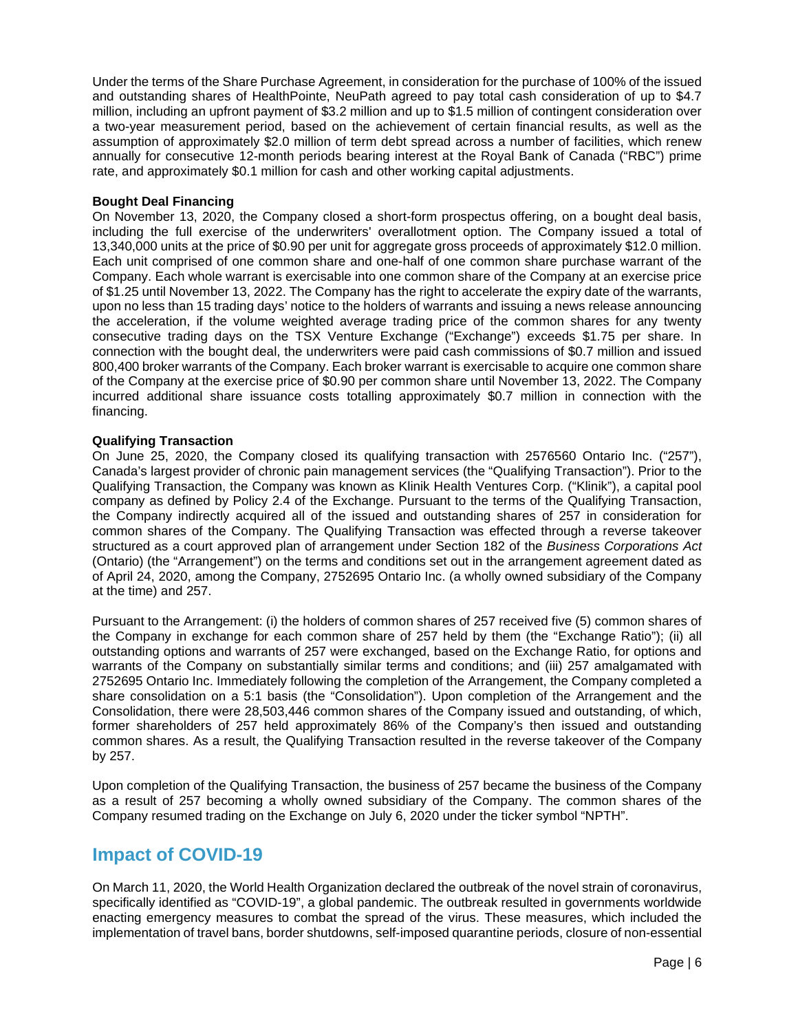Under the terms of the Share Purchase Agreement, in consideration for the purchase of 100% of the issued and outstanding shares of HealthPointe, NeuPath agreed to pay total cash consideration of up to \$4.7 million, including an upfront payment of \$3.2 million and up to \$1.5 million of contingent consideration over a two-year measurement period, based on the achievement of certain financial results, as well as the assumption of approximately \$2.0 million of term debt spread across a number of facilities, which renew annually for consecutive 12-month periods bearing interest at the Royal Bank of Canada ("RBC") prime rate, and approximately \$0.1 million for cash and other working capital adjustments.

## **Bought Deal Financing**

On November 13, 2020, the Company closed a short-form prospectus offering, on a bought deal basis, including the full exercise of the underwriters' overallotment option. The Company issued a total of 13,340,000 units at the price of \$0.90 per unit for aggregate gross proceeds of approximately \$12.0 million. Each unit comprised of one common share and one-half of one common share purchase warrant of the Company. Each whole warrant is exercisable into one common share of the Company at an exercise price of \$1.25 until November 13, 2022. The Company has the right to accelerate the expiry date of the warrants, upon no less than 15 trading days' notice to the holders of warrants and issuing a news release announcing the acceleration, if the volume weighted average trading price of the common shares for any twenty consecutive trading days on the TSX Venture Exchange ("Exchange") exceeds \$1.75 per share. In connection with the bought deal, the underwriters were paid cash commissions of \$0.7 million and issued 800,400 broker warrants of the Company. Each broker warrant is exercisable to acquire one common share of the Company at the exercise price of \$0.90 per common share until November 13, 2022. The Company incurred additional share issuance costs totalling approximately \$0.7 million in connection with the financing.

## **Qualifying Transaction**

On June 25, 2020, the Company closed its qualifying transaction with 2576560 Ontario Inc. ("257"), Canada's largest provider of chronic pain management services (the "Qualifying Transaction"). Prior to the Qualifying Transaction, the Company was known as Klinik Health Ventures Corp. ("Klinik"), a capital pool company as defined by Policy 2.4 of the Exchange. Pursuant to the terms of the Qualifying Transaction, the Company indirectly acquired all of the issued and outstanding shares of 257 in consideration for common shares of the Company. The Qualifying Transaction was effected through a reverse takeover structured as a court approved plan of arrangement under Section 182 of the *Business Corporations Act* (Ontario) (the "Arrangement") on the terms and conditions set out in the arrangement agreement dated as of April 24, 2020, among the Company, 2752695 Ontario Inc. (a wholly owned subsidiary of the Company at the time) and 257.

Pursuant to the Arrangement: (i) the holders of common shares of 257 received five (5) common shares of the Company in exchange for each common share of 257 held by them (the "Exchange Ratio"); (ii) all outstanding options and warrants of 257 were exchanged, based on the Exchange Ratio, for options and warrants of the Company on substantially similar terms and conditions; and (iii) 257 amalgamated with 2752695 Ontario Inc. Immediately following the completion of the Arrangement, the Company completed a share consolidation on a 5:1 basis (the "Consolidation"). Upon completion of the Arrangement and the Consolidation, there were 28,503,446 common shares of the Company issued and outstanding, of which, former shareholders of 257 held approximately 86% of the Company's then issued and outstanding common shares. As a result, the Qualifying Transaction resulted in the reverse takeover of the Company by 257.

Upon completion of the Qualifying Transaction, the business of 257 became the business of the Company as a result of 257 becoming a wholly owned subsidiary of the Company. The common shares of the Company resumed trading on the Exchange on July 6, 2020 under the ticker symbol "NPTH".

## **Impact of COVID-19**

On March 11, 2020, the World Health Organization declared the outbreak of the novel strain of coronavirus, specifically identified as "COVID-19", a global pandemic. The outbreak resulted in governments worldwide enacting emergency measures to combat the spread of the virus. These measures, which included the implementation of travel bans, border shutdowns, self-imposed quarantine periods, closure of non-essential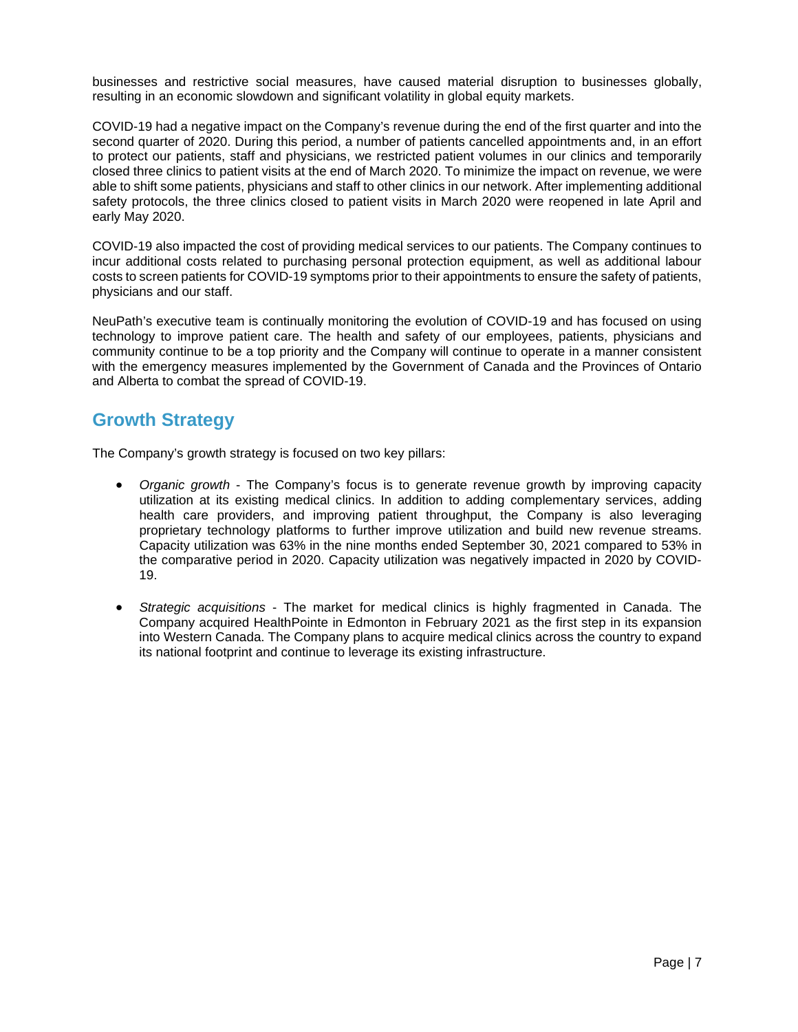businesses and restrictive social measures, have caused material disruption to businesses globally, resulting in an economic slowdown and significant volatility in global equity markets.

COVID-19 had a negative impact on the Company's revenue during the end of the first quarter and into the second quarter of 2020. During this period, a number of patients cancelled appointments and, in an effort to protect our patients, staff and physicians, we restricted patient volumes in our clinics and temporarily closed three clinics to patient visits at the end of March 2020. To minimize the impact on revenue, we were able to shift some patients, physicians and staff to other clinics in our network. After implementing additional safety protocols, the three clinics closed to patient visits in March 2020 were reopened in late April and early May 2020.

COVID-19 also impacted the cost of providing medical services to our patients. The Company continues to incur additional costs related to purchasing personal protection equipment, as well as additional labour costs to screen patients for COVID-19 symptoms prior to their appointments to ensure the safety of patients, physicians and our staff.

NeuPath's executive team is continually monitoring the evolution of COVID-19 and has focused on using technology to improve patient care. The health and safety of our employees, patients, physicians and community continue to be a top priority and the Company will continue to operate in a manner consistent with the emergency measures implemented by the Government of Canada and the Provinces of Ontario and Alberta to combat the spread of COVID-19.

## **Growth Strategy**

The Company's growth strategy is focused on two key pillars:

- *Organic growth* The Company's focus is to generate revenue growth by improving capacity utilization at its existing medical clinics. In addition to adding complementary services, adding health care providers, and improving patient throughput, the Company is also leveraging proprietary technology platforms to further improve utilization and build new revenue streams. Capacity utilization was 63% in the nine months ended September 30, 2021 compared to 53% in the comparative period in 2020. Capacity utilization was negatively impacted in 2020 by COVID-19.
- *Strategic acquisitions* The market for medical clinics is highly fragmented in Canada. The Company acquired HealthPointe in Edmonton in February 2021 as the first step in its expansion into Western Canada. The Company plans to acquire medical clinics across the country to expand its national footprint and continue to leverage its existing infrastructure.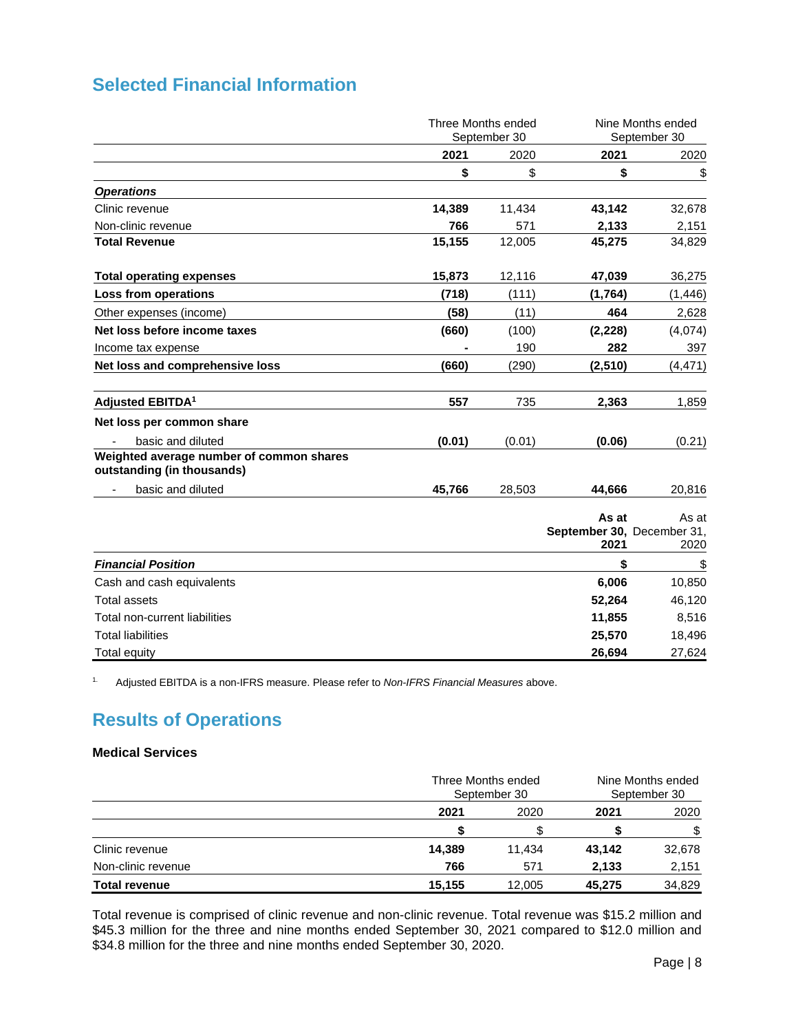|  | <b>Selected Financial Information</b> |
|--|---------------------------------------|
|  |                                       |

|                                                                        | Three Months ended<br>September 30 |        |                                             | Nine Months ended<br>September 30 |
|------------------------------------------------------------------------|------------------------------------|--------|---------------------------------------------|-----------------------------------|
|                                                                        | 2021                               | 2020   | 2021                                        | 2020                              |
|                                                                        | \$                                 | \$     | \$                                          | \$                                |
| <b>Operations</b>                                                      |                                    |        |                                             |                                   |
| Clinic revenue                                                         | 14,389                             | 11,434 | 43,142                                      | 32,678                            |
| Non-clinic revenue                                                     | 766                                | 571    | 2,133                                       | 2,151                             |
| <b>Total Revenue</b>                                                   | 15,155                             | 12,005 | 45,275                                      | 34,829                            |
| <b>Total operating expenses</b>                                        | 15,873                             | 12,116 | 47,039                                      | 36,275                            |
| Loss from operations                                                   | (718)                              | (111)  | (1,764)                                     | (1, 446)                          |
| Other expenses (income)                                                | (58)                               | (11)   | 464                                         | 2,628                             |
| Net loss before income taxes                                           | (660)                              | (100)  | (2, 228)                                    | (4,074)                           |
| Income tax expense                                                     |                                    | 190    | 282                                         | 397                               |
| Net loss and comprehensive loss                                        | (660)                              | (290)  | (2, 510)                                    | (4, 471)                          |
| Adjusted EBITDA <sup>1</sup>                                           | 557                                | 735    | 2,363                                       | 1,859                             |
| Net loss per common share                                              |                                    |        |                                             |                                   |
| basic and diluted                                                      | (0.01)                             | (0.01) | (0.06)                                      | (0.21)                            |
| Weighted average number of common shares<br>outstanding (in thousands) |                                    |        |                                             |                                   |
| basic and diluted                                                      | 45,766                             | 28,503 | 44,666                                      | 20,816                            |
|                                                                        |                                    |        | As at<br>September 30, December 31,<br>2021 | As at<br>2020                     |
| <b>Financial Position</b>                                              |                                    |        | \$                                          | \$                                |
| Cash and cash equivalents                                              |                                    |        | 6,006                                       | 10,850                            |
| <b>Total assets</b>                                                    |                                    |        | 52,264                                      | 46,120                            |
| Total non-current liabilities                                          |                                    |        | 11,855                                      | 8,516                             |
| <b>Total liabilities</b>                                               |                                    |        | 25,570                                      | 18,496                            |
| <b>Total equity</b>                                                    |                                    |        | 26,694                                      | 27,624                            |

1. Adjusted EBITDA is a non-IFRS measure. Please refer to *Non-IFRS Financial Measures* above.

# **Results of Operations**

## **Medical Services**

|                      |        | Three Months ended<br>September 30 |        | Nine Months ended<br>September 30 |  |
|----------------------|--------|------------------------------------|--------|-----------------------------------|--|
|                      | 2021   | 2020                               | 2021   | 2020                              |  |
|                      |        |                                    |        | \$                                |  |
| Clinic revenue       | 14,389 | 11.434                             | 43,142 | 32,678                            |  |
| Non-clinic revenue   | 766    | 571                                | 2,133  | 2,151                             |  |
| <b>Total revenue</b> | 15,155 | 12,005                             | 45,275 | 34,829                            |  |

Total revenue is comprised of clinic revenue and non-clinic revenue. Total revenue was \$15.2 million and \$45.3 million for the three and nine months ended September 30, 2021 compared to \$12.0 million and \$34.8 million for the three and nine months ended September 30, 2020.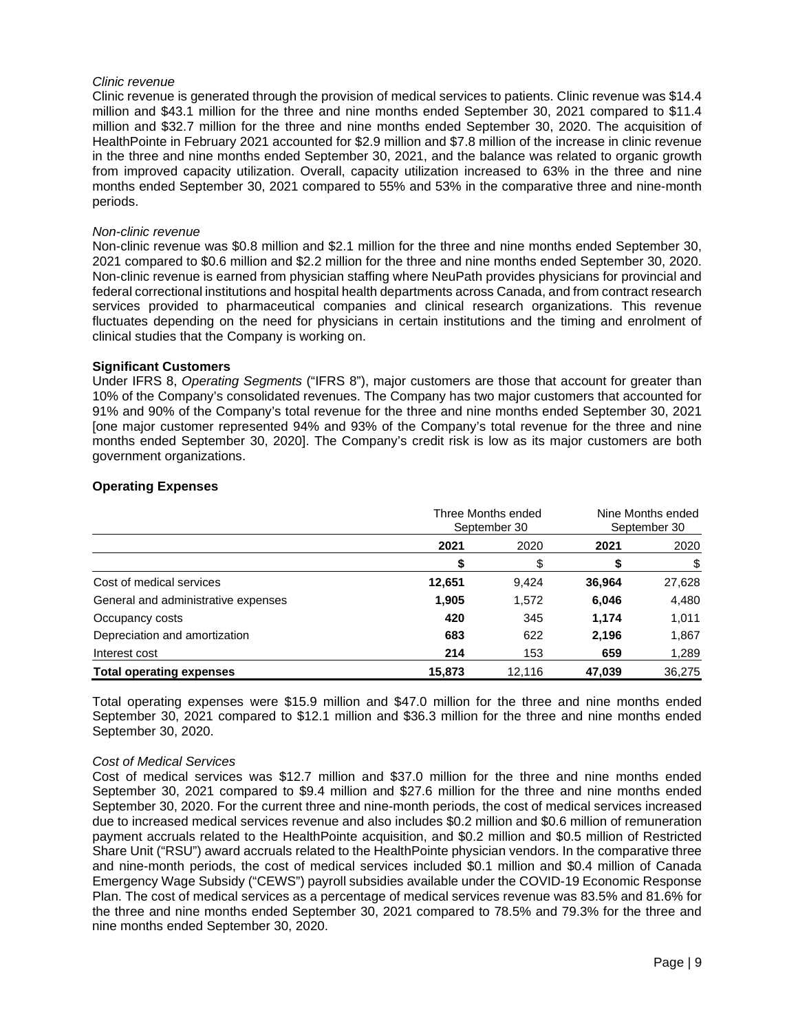#### *Clinic revenue*

Clinic revenue is generated through the provision of medical services to patients. Clinic revenue was \$14.4 million and \$43.1 million for the three and nine months ended September 30, 2021 compared to \$11.4 million and \$32.7 million for the three and nine months ended September 30, 2020. The acquisition of HealthPointe in February 2021 accounted for \$2.9 million and \$7.8 million of the increase in clinic revenue in the three and nine months ended September 30, 2021, and the balance was related to organic growth from improved capacity utilization. Overall, capacity utilization increased to 63% in the three and nine months ended September 30, 2021 compared to 55% and 53% in the comparative three and nine-month periods.

#### *Non-clinic revenue*

Non-clinic revenue was \$0.8 million and \$2.1 million for the three and nine months ended September 30, 2021 compared to \$0.6 million and \$2.2 million for the three and nine months ended September 30, 2020. Non-clinic revenue is earned from physician staffing where NeuPath provides physicians for provincial and federal correctional institutions and hospital health departments across Canada, and from contract research services provided to pharmaceutical companies and clinical research organizations. This revenue fluctuates depending on the need for physicians in certain institutions and the timing and enrolment of clinical studies that the Company is working on.

#### **Significant Customers**

Under IFRS 8, *Operating Segments* ("IFRS 8"), major customers are those that account for greater than 10% of the Company's consolidated revenues. The Company has two major customers that accounted for 91% and 90% of the Company's total revenue for the three and nine months ended September 30, 2021 [one major customer represented 94% and 93% of the Company's total revenue for the three and nine months ended September 30, 2020]. The Company's credit risk is low as its major customers are both government organizations.

|                                     | Three Months ended<br>September 30 |        | Nine Months ended<br>September 30 |        |
|-------------------------------------|------------------------------------|--------|-----------------------------------|--------|
|                                     | 2021                               | 2020   | 2021                              | 2020   |
|                                     |                                    | \$     |                                   |        |
| Cost of medical services            | 12,651                             | 9,424  | 36,964                            | 27,628 |
| General and administrative expenses | 1,905                              | 1,572  | 6,046                             | 4,480  |
| Occupancy costs                     | 420                                | 345    | 1,174                             | 1,011  |
| Depreciation and amortization       | 683                                | 622    | 2,196                             | 1,867  |
| Interest cost                       | 214                                | 153    | 659                               | 1,289  |
| <b>Total operating expenses</b>     | 15.873                             | 12.116 | 47,039                            | 36.275 |

#### **Operating Expenses**

Total operating expenses were \$15.9 million and \$47.0 million for the three and nine months ended September 30, 2021 compared to \$12.1 million and \$36.3 million for the three and nine months ended September 30, 2020.

#### *Cost of Medical Services*

Cost of medical services was \$12.7 million and \$37.0 million for the three and nine months ended September 30, 2021 compared to \$9.4 million and \$27.6 million for the three and nine months ended September 30, 2020. For the current three and nine-month periods, the cost of medical services increased due to increased medical services revenue and also includes \$0.2 million and \$0.6 million of remuneration payment accruals related to the HealthPointe acquisition, and \$0.2 million and \$0.5 million of Restricted Share Unit ("RSU") award accruals related to the HealthPointe physician vendors. In the comparative three and nine-month periods, the cost of medical services included \$0.1 million and \$0.4 million of Canada Emergency Wage Subsidy ("CEWS") payroll subsidies available under the COVID-19 Economic Response Plan. The cost of medical services as a percentage of medical services revenue was 83.5% and 81.6% for the three and nine months ended September 30, 2021 compared to 78.5% and 79.3% for the three and nine months ended September 30, 2020.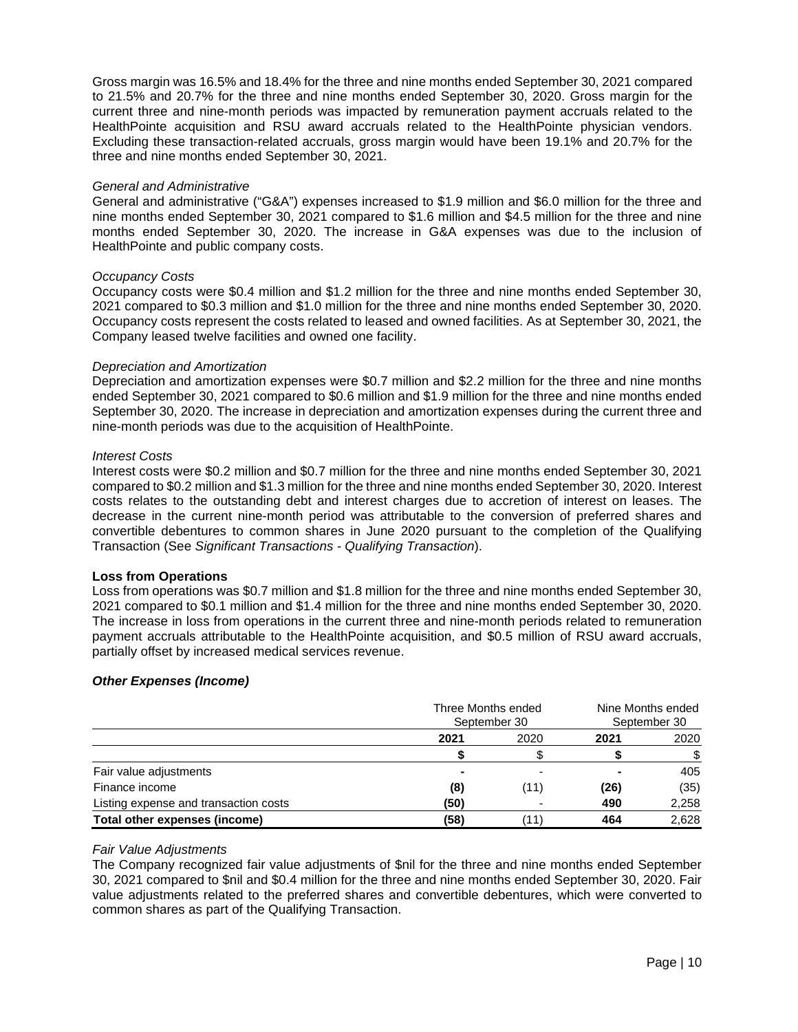Gross margin was 16.5% and 18.4% for the three and nine months ended September 30, 2021 compared to 21.5% and 20.7% for the three and nine months ended September 30, 2020. Gross margin for the current three and nine-month periods was impacted by remuneration payment accruals related to the HealthPointe acquisition and RSU award accruals related to the HealthPointe physician vendors. Excluding these transaction-related accruals, gross margin would have been 19.1% and 20.7% for the three and nine months ended September 30, 2021.

#### *General and Administrative*

General and administrative ("G&A") expenses increased to \$1.9 million and \$6.0 million for the three and nine months ended September 30, 2021 compared to \$1.6 million and \$4.5 million for the three and nine months ended September 30, 2020. The increase in G&A expenses was due to the inclusion of HealthPointe and public company costs.

#### *Occupancy Costs*

Occupancy costs were \$0.4 million and \$1.2 million for the three and nine months ended September 30, 2021 compared to \$0.3 million and \$1.0 million for the three and nine months ended September 30, 2020. Occupancy costs represent the costs related to leased and owned facilities. As at September 30, 2021, the Company leased twelve facilities and owned one facility.

#### *Depreciation and Amortization*

Depreciation and amortization expenses were \$0.7 million and \$2.2 million for the three and nine months ended September 30, 2021 compared to \$0.6 million and \$1.9 million for the three and nine months ended September 30, 2020. The increase in depreciation and amortization expenses during the current three and nine-month periods was due to the acquisition of HealthPointe.

#### *Interest Costs*

Interest costs were \$0.2 million and \$0.7 million for the three and nine months ended September 30, 2021 compared to \$0.2 million and \$1.3 million for the three and nine months ended September 30, 2020. Interest costs relates to the outstanding debt and interest charges due to accretion of interest on leases. The decrease in the current nine-month period was attributable to the conversion of preferred shares and convertible debentures to common shares in June 2020 pursuant to the completion of the Qualifying Transaction (See *Significant Transactions - Qualifying Transaction*).

#### **Loss from Operations**

Loss from operations was \$0.7 million and \$1.8 million for the three and nine months ended September 30, 2021 compared to \$0.1 million and \$1.4 million for the three and nine months ended September 30, 2020. The increase in loss from operations in the current three and nine-month periods related to remuneration payment accruals attributable to the HealthPointe acquisition, and \$0.5 million of RSU award accruals, partially offset by increased medical services revenue.

## *Other Expenses (Income)*

|                                       |      | Three Months ended<br>September 30 |                | Nine Months ended<br>September 30 |  |
|---------------------------------------|------|------------------------------------|----------------|-----------------------------------|--|
|                                       | 2021 | 2020                               | 2021           | 2020                              |  |
|                                       |      |                                    |                | \$.                               |  |
| Fair value adjustments                |      |                                    | $\blacksquare$ | 405                               |  |
| Finance income                        | (8)  | (11)                               | (26)           | (35)                              |  |
| Listing expense and transaction costs | (50) |                                    | 490            | 2,258                             |  |
| Total other expenses (income)         | (58) | (11)                               | 464            | 2.628                             |  |

#### *Fair Value Adjustments*

The Company recognized fair value adjustments of \$nil for the three and nine months ended September 30, 2021 compared to \$nil and \$0.4 million for the three and nine months ended September 30, 2020. Fair value adjustments related to the preferred shares and convertible debentures, which were converted to common shares as part of the Qualifying Transaction.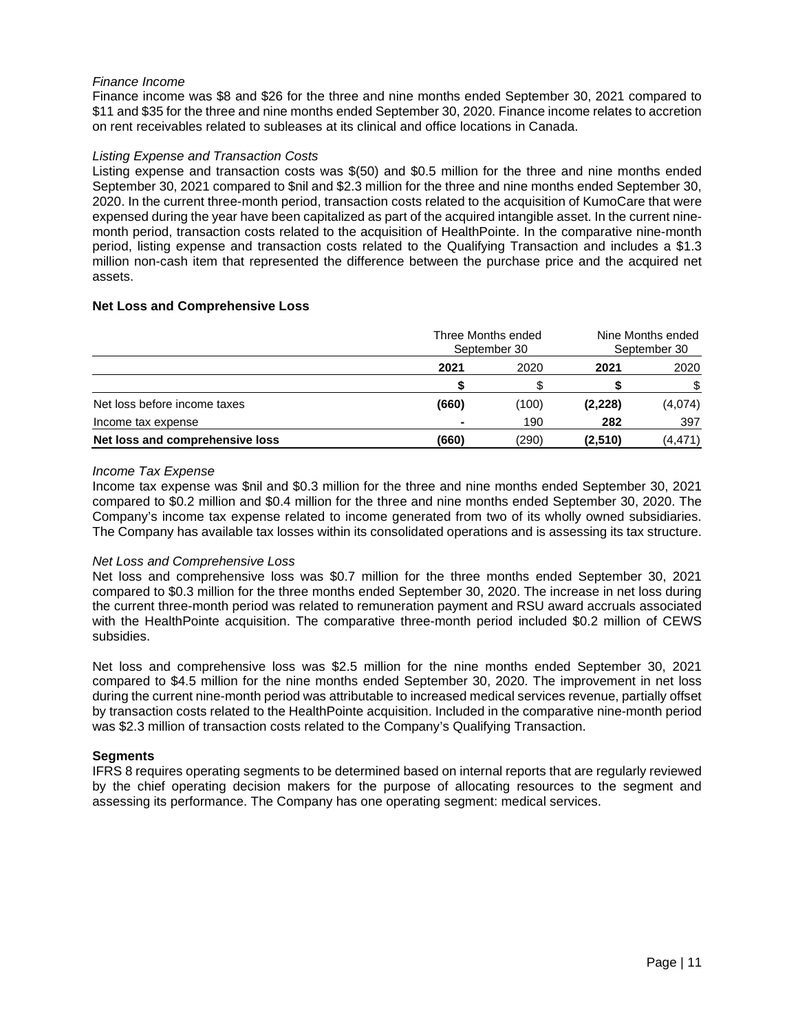## *Finance Income*

Finance income was \$8 and \$26 for the three and nine months ended September 30, 2021 compared to \$11 and \$35 for the three and nine months ended September 30, 2020. Finance income relates to accretion on rent receivables related to subleases at its clinical and office locations in Canada.

## *Listing Expense and Transaction Costs*

Listing expense and transaction costs was \$(50) and \$0.5 million for the three and nine months ended September 30, 2021 compared to \$nil and \$2.3 million for the three and nine months ended September 30, 2020. In the current three-month period, transaction costs related to the acquisition of KumoCare that were expensed during the year have been capitalized as part of the acquired intangible asset. In the current ninemonth period, transaction costs related to the acquisition of HealthPointe. In the comparative nine-month period, listing expense and transaction costs related to the Qualifying Transaction and includes a \$1.3 million non-cash item that represented the difference between the purchase price and the acquired net assets.

## **Net Loss and Comprehensive Loss**

|                                 | Three Months ended<br>September 30 |       | Nine Months ended<br>September 30 |         |
|---------------------------------|------------------------------------|-------|-----------------------------------|---------|
|                                 | 2021                               | 2020  | 2021                              | 2020    |
|                                 |                                    |       |                                   | \$      |
| Net loss before income taxes    | (660)                              | (100) | (2, 228)                          | (4,074) |
| Income tax expense              |                                    | 190   | 282                               | 397     |
| Net loss and comprehensive loss | (660)                              | (290) | (2,510)                           | (4,471) |

## *Income Tax Expense*

Income tax expense was \$nil and \$0.3 million for the three and nine months ended September 30, 2021 compared to \$0.2 million and \$0.4 million for the three and nine months ended September 30, 2020. The Company's income tax expense related to income generated from two of its wholly owned subsidiaries. The Company has available tax losses within its consolidated operations and is assessing its tax structure.

## *Net Loss and Comprehensive Loss*

Net loss and comprehensive loss was \$0.7 million for the three months ended September 30, 2021 compared to \$0.3 million for the three months ended September 30, 2020. The increase in net loss during the current three-month period was related to remuneration payment and RSU award accruals associated with the HealthPointe acquisition. The comparative three-month period included \$0.2 million of CEWS subsidies.

Net loss and comprehensive loss was \$2.5 million for the nine months ended September 30, 2021 compared to \$4.5 million for the nine months ended September 30, 2020. The improvement in net loss during the current nine-month period was attributable to increased medical services revenue, partially offset by transaction costs related to the HealthPointe acquisition. Included in the comparative nine-month period was \$2.3 million of transaction costs related to the Company's Qualifying Transaction.

## **Segments**

IFRS 8 requires operating segments to be determined based on internal reports that are regularly reviewed by the chief operating decision makers for the purpose of allocating resources to the segment and assessing its performance. The Company has one operating segment: medical services.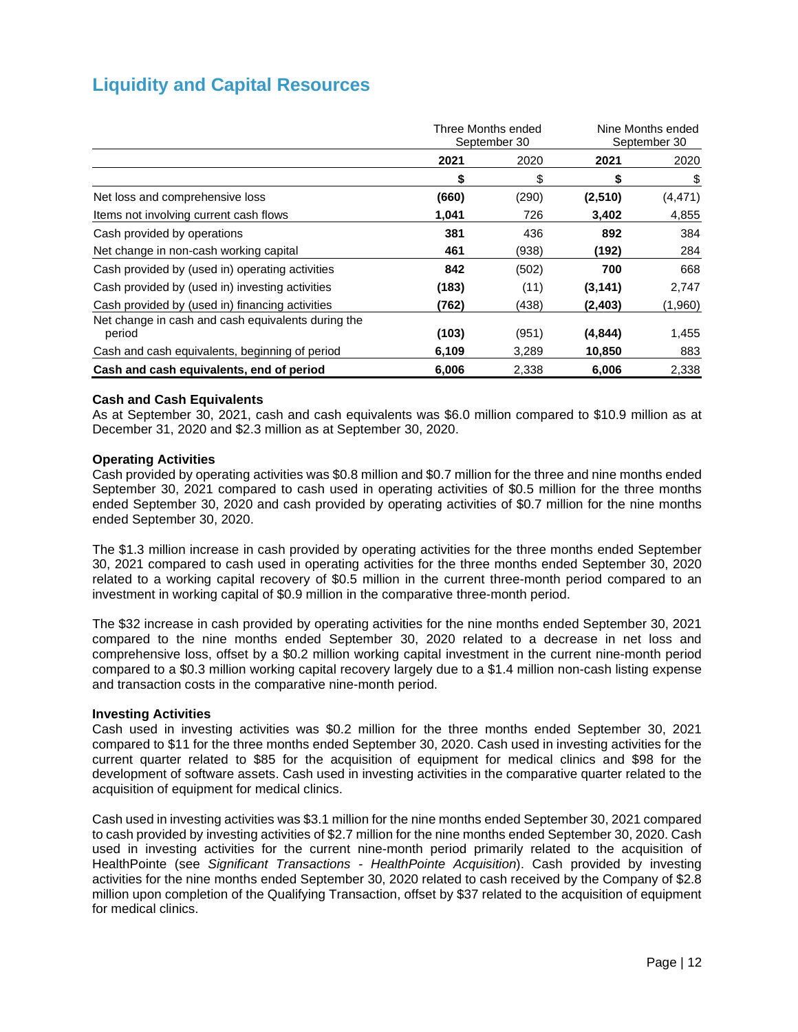# **Liquidity and Capital Resources**

|                                                              | Three Months ended<br>September 30 |       | Nine Months ended<br>September 30 |          |
|--------------------------------------------------------------|------------------------------------|-------|-----------------------------------|----------|
|                                                              | 2021                               | 2020  | 2021                              | 2020     |
|                                                              | \$                                 | \$    | \$                                | \$       |
| Net loss and comprehensive loss                              | (660)                              | (290) | (2,510)                           | (4, 471) |
| Items not involving current cash flows                       | 1,041                              | 726   | 3,402                             | 4,855    |
| Cash provided by operations                                  | 381                                | 436   | 892                               | 384      |
| Net change in non-cash working capital                       | 461                                | (938) | (192)                             | 284      |
| Cash provided by (used in) operating activities              | 842                                | (502) | 700                               | 668      |
| Cash provided by (used in) investing activities              | (183)                              | (11)  | (3, 141)                          | 2,747    |
| Cash provided by (used in) financing activities              | (762)                              | (438) | (2, 403)                          | (1,960)  |
| Net change in cash and cash equivalents during the<br>period | (103)                              | (951) | (4, 844)                          | 1,455    |
| Cash and cash equivalents, beginning of period               | 6,109                              | 3,289 | 10,850                            | 883      |
| Cash and cash equivalents, end of period                     | 6,006                              | 2,338 | 6,006                             | 2,338    |

## **Cash and Cash Equivalents**

As at September 30, 2021, cash and cash equivalents was \$6.0 million compared to \$10.9 million as at December 31, 2020 and \$2.3 million as at September 30, 2020.

## **Operating Activities**

Cash provided by operating activities was \$0.8 million and \$0.7 million for the three and nine months ended September 30, 2021 compared to cash used in operating activities of \$0.5 million for the three months ended September 30, 2020 and cash provided by operating activities of \$0.7 million for the nine months ended September 30, 2020.

The \$1.3 million increase in cash provided by operating activities for the three months ended September 30, 2021 compared to cash used in operating activities for the three months ended September 30, 2020 related to a working capital recovery of \$0.5 million in the current three-month period compared to an investment in working capital of \$0.9 million in the comparative three-month period.

The \$32 increase in cash provided by operating activities for the nine months ended September 30, 2021 compared to the nine months ended September 30, 2020 related to a decrease in net loss and comprehensive loss, offset by a \$0.2 million working capital investment in the current nine-month period compared to a \$0.3 million working capital recovery largely due to a \$1.4 million non-cash listing expense and transaction costs in the comparative nine-month period.

## **Investing Activities**

Cash used in investing activities was \$0.2 million for the three months ended September 30, 2021 compared to \$11 for the three months ended September 30, 2020. Cash used in investing activities for the current quarter related to \$85 for the acquisition of equipment for medical clinics and \$98 for the development of software assets. Cash used in investing activities in the comparative quarter related to the acquisition of equipment for medical clinics.

Cash used in investing activities was \$3.1 million for the nine months ended September 30, 2021 compared to cash provided by investing activities of \$2.7 million for the nine months ended September 30, 2020. Cash used in investing activities for the current nine-month period primarily related to the acquisition of HealthPointe (see *Significant Transactions - HealthPointe Acquisition*). Cash provided by investing activities for the nine months ended September 30, 2020 related to cash received by the Company of \$2.8 million upon completion of the Qualifying Transaction, offset by \$37 related to the acquisition of equipment for medical clinics.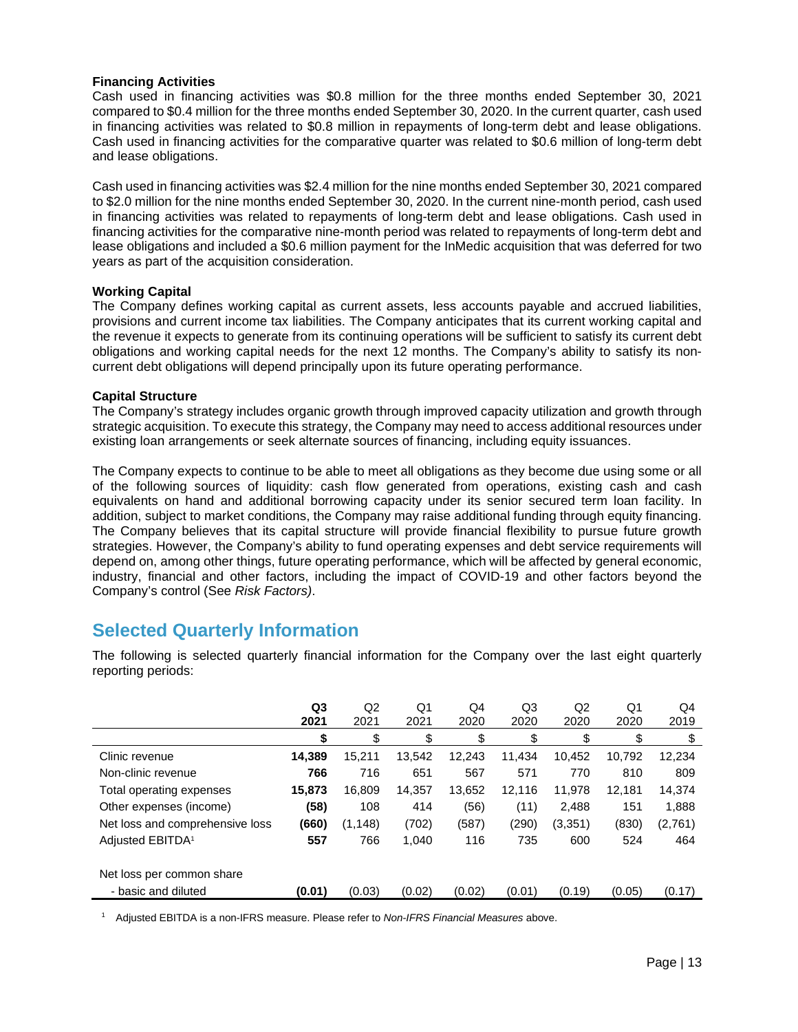## **Financing Activities**

Cash used in financing activities was \$0.8 million for the three months ended September 30, 2021 compared to \$0.4 million for the three months ended September 30, 2020. In the current quarter, cash used in financing activities was related to \$0.8 million in repayments of long-term debt and lease obligations. Cash used in financing activities for the comparative quarter was related to \$0.6 million of long-term debt and lease obligations.

Cash used in financing activities was \$2.4 million for the nine months ended September 30, 2021 compared to \$2.0 million for the nine months ended September 30, 2020. In the current nine-month period, cash used in financing activities was related to repayments of long-term debt and lease obligations. Cash used in financing activities for the comparative nine-month period was related to repayments of long-term debt and lease obligations and included a \$0.6 million payment for the InMedic acquisition that was deferred for two years as part of the acquisition consideration.

## **Working Capital**

The Company defines working capital as current assets, less accounts payable and accrued liabilities, provisions and current income tax liabilities. The Company anticipates that its current working capital and the revenue it expects to generate from its continuing operations will be sufficient to satisfy its current debt obligations and working capital needs for the next 12 months. The Company's ability to satisfy its noncurrent debt obligations will depend principally upon its future operating performance.

## **Capital Structure**

The Company's strategy includes organic growth through improved capacity utilization and growth through strategic acquisition. To execute this strategy, the Company may need to access additional resources under existing loan arrangements or seek alternate sources of financing, including equity issuances.

The Company expects to continue to be able to meet all obligations as they become due using some or all of the following sources of liquidity: cash flow generated from operations, existing cash and cash equivalents on hand and additional borrowing capacity under its senior secured term loan facility. In addition, subject to market conditions, the Company may raise additional funding through equity financing. The Company believes that its capital structure will provide financial flexibility to pursue future growth strategies. However, the Company's ability to fund operating expenses and debt service requirements will depend on, among other things, future operating performance, which will be affected by general economic, industry, financial and other factors, including the impact of COVID-19 and other factors beyond the Company's control (See *Risk Factors)*.

# **Selected Quarterly Information**

The following is selected quarterly financial information for the Company over the last eight quarterly reporting periods:

|                                 | Q <sub>3</sub><br>2021 | Q <sub>2</sub><br>2021 | Q1<br>2021 | Q4<br>2020 | Q3<br>2020 | Q2<br>2020 | Q1<br>2020 | Q4<br>2019 |
|---------------------------------|------------------------|------------------------|------------|------------|------------|------------|------------|------------|
|                                 | \$                     | \$                     | \$         | \$         | \$         | \$         | \$         | \$         |
| Clinic revenue                  | 14,389                 | 15,211                 | 13,542     | 12.243     | 11.434     | 10,452     | 10.792     | 12,234     |
| Non-clinic revenue              | 766                    | 716                    | 651        | 567        | 571        | 770        | 810        | 809        |
| Total operating expenses        | 15,873                 | 16,809                 | 14,357     | 13,652     | 12.116     | 11,978     | 12,181     | 14,374     |
| Other expenses (income)         | (58)                   | 108                    | 414        | (56)       | (11)       | 2,488      | 151        | 1,888      |
| Net loss and comprehensive loss | (660)                  | (1, 148)               | (702)      | (587)      | (290)      | (3, 351)   | (830)      | (2,761)    |
| Adjusted EBITDA <sup>1</sup>    | 557                    | 766                    | 1,040      | 116        | 735        | 600        | 524        | 464        |
| Net loss per common share       |                        |                        |            |            |            |            |            |            |
| - basic and diluted             | (0.01)                 | (0.03)                 | (0.02)     | (0.02)     | (0.01)     | (0.19)     | (0.05)     | (0.17)     |

<sup>1</sup> Adjusted EBITDA is a non-IFRS measure. Please refer to *Non-IFRS Financial Measures* above.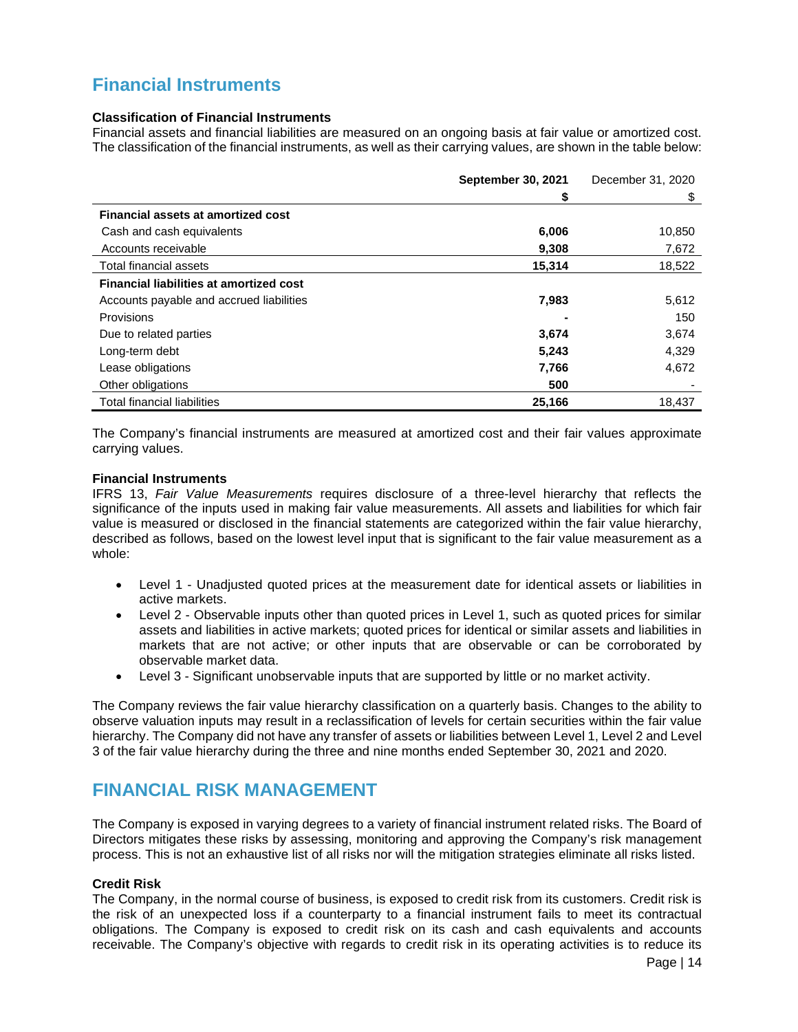# **Financial Instruments**

## **Classification of Financial Instruments**

Financial assets and financial liabilities are measured on an ongoing basis at fair value or amortized cost. The classification of the financial instruments, as well as their carrying values, are shown in the table below:

|                                                | <b>September 30, 2021</b> | December 31, 2020 |
|------------------------------------------------|---------------------------|-------------------|
|                                                | \$                        | \$                |
| <b>Financial assets at amortized cost</b>      |                           |                   |
| Cash and cash equivalents                      | 6,006                     | 10,850            |
| Accounts receivable                            | 9,308                     | 7,672             |
| Total financial assets                         | 15,314                    | 18,522            |
| <b>Financial liabilities at amortized cost</b> |                           |                   |
| Accounts payable and accrued liabilities       | 7,983                     | 5,612             |
| Provisions                                     |                           | 150               |
| Due to related parties                         | 3,674                     | 3,674             |
| Long-term debt                                 | 5,243                     | 4,329             |
| Lease obligations                              | 7,766                     | 4,672             |
| Other obligations                              | 500                       |                   |
| <b>Total financial liabilities</b>             | 25.166                    | 18.437            |

The Company's financial instruments are measured at amortized cost and their fair values approximate carrying values.

#### **Financial Instruments**

IFRS 13, *Fair Value Measurements* requires disclosure of a three-level hierarchy that reflects the significance of the inputs used in making fair value measurements. All assets and liabilities for which fair value is measured or disclosed in the financial statements are categorized within the fair value hierarchy, described as follows, based on the lowest level input that is significant to the fair value measurement as a whole:

- Level 1 Unadjusted quoted prices at the measurement date for identical assets or liabilities in active markets.
- Level 2 Observable inputs other than quoted prices in Level 1, such as quoted prices for similar assets and liabilities in active markets; quoted prices for identical or similar assets and liabilities in markets that are not active; or other inputs that are observable or can be corroborated by observable market data.
- Level 3 Significant unobservable inputs that are supported by little or no market activity.

The Company reviews the fair value hierarchy classification on a quarterly basis. Changes to the ability to observe valuation inputs may result in a reclassification of levels for certain securities within the fair value hierarchy. The Company did not have any transfer of assets or liabilities between Level 1, Level 2 and Level 3 of the fair value hierarchy during the three and nine months ended September 30, 2021 and 2020.

## **FINANCIAL RISK MANAGEMENT**

The Company is exposed in varying degrees to a variety of financial instrument related risks. The Board of Directors mitigates these risks by assessing, monitoring and approving the Company's risk management process. This is not an exhaustive list of all risks nor will the mitigation strategies eliminate all risks listed.

## **Credit Risk**

The Company, in the normal course of business, is exposed to credit risk from its customers. Credit risk is the risk of an unexpected loss if a counterparty to a financial instrument fails to meet its contractual obligations. The Company is exposed to credit risk on its cash and cash equivalents and accounts receivable. The Company's objective with regards to credit risk in its operating activities is to reduce its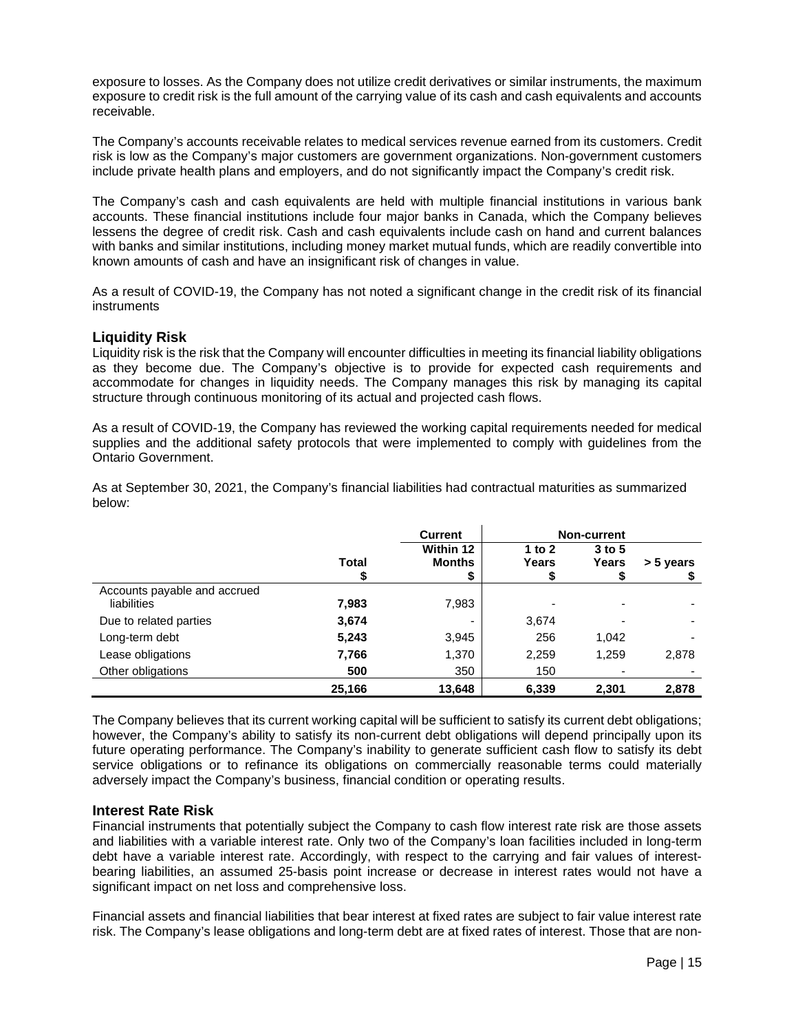exposure to losses. As the Company does not utilize credit derivatives or similar instruments, the maximum exposure to credit risk is the full amount of the carrying value of its cash and cash equivalents and accounts receivable.

The Company's accounts receivable relates to medical services revenue earned from its customers. Credit risk is low as the Company's major customers are government organizations. Non-government customers include private health plans and employers, and do not significantly impact the Company's credit risk.

The Company's cash and cash equivalents are held with multiple financial institutions in various bank accounts. These financial institutions include four major banks in Canada, which the Company believes lessens the degree of credit risk. Cash and cash equivalents include cash on hand and current balances with banks and similar institutions, including money market mutual funds, which are readily convertible into known amounts of cash and have an insignificant risk of changes in value.

As a result of COVID-19, the Company has not noted a significant change in the credit risk of its financial instruments

## **Liquidity Risk**

Liquidity risk is the risk that the Company will encounter difficulties in meeting its financial liability obligations as they become due. The Company's objective is to provide for expected cash requirements and accommodate for changes in liquidity needs. The Company manages this risk by managing its capital structure through continuous monitoring of its actual and projected cash flows.

As a result of COVID-19, the Company has reviewed the working capital requirements needed for medical supplies and the additional safety protocols that were implemented to comply with guidelines from the Ontario Government.

As at September 30, 2021, the Company's financial liabilities had contractual maturities as summarized below:

|                              | <b>Current</b> |               |          | <b>Non-current</b> |           |
|------------------------------|----------------|---------------|----------|--------------------|-----------|
|                              |                | Within 12     | 1 to $2$ | $3$ to 5           |           |
|                              | Total          | <b>Months</b> | Years    | Years              | > 5 years |
|                              |                | \$            |          |                    |           |
| Accounts payable and accrued |                |               |          |                    |           |
| liabilities                  | 7,983          | 7,983         |          |                    |           |
| Due to related parties       | 3,674          | -             | 3.674    |                    |           |
| Long-term debt               | 5,243          | 3,945         | 256      | 1,042              |           |
| Lease obligations            | 7,766          | 1,370         | 2,259    | 1,259              | 2,878     |
| Other obligations            | 500            | 350           | 150      |                    |           |
|                              | 25,166         | 13,648        | 6,339    | 2,301              | 2,878     |

The Company believes that its current working capital will be sufficient to satisfy its current debt obligations; however, the Company's ability to satisfy its non-current debt obligations will depend principally upon its future operating performance. The Company's inability to generate sufficient cash flow to satisfy its debt service obligations or to refinance its obligations on commercially reasonable terms could materially adversely impact the Company's business, financial condition or operating results.

## **Interest Rate Risk**

Financial instruments that potentially subject the Company to cash flow interest rate risk are those assets and liabilities with a variable interest rate. Only two of the Company's loan facilities included in long-term debt have a variable interest rate. Accordingly, with respect to the carrying and fair values of interestbearing liabilities, an assumed 25-basis point increase or decrease in interest rates would not have a significant impact on net loss and comprehensive loss.

Financial assets and financial liabilities that bear interest at fixed rates are subject to fair value interest rate risk. The Company's lease obligations and long-term debt are at fixed rates of interest. Those that are non-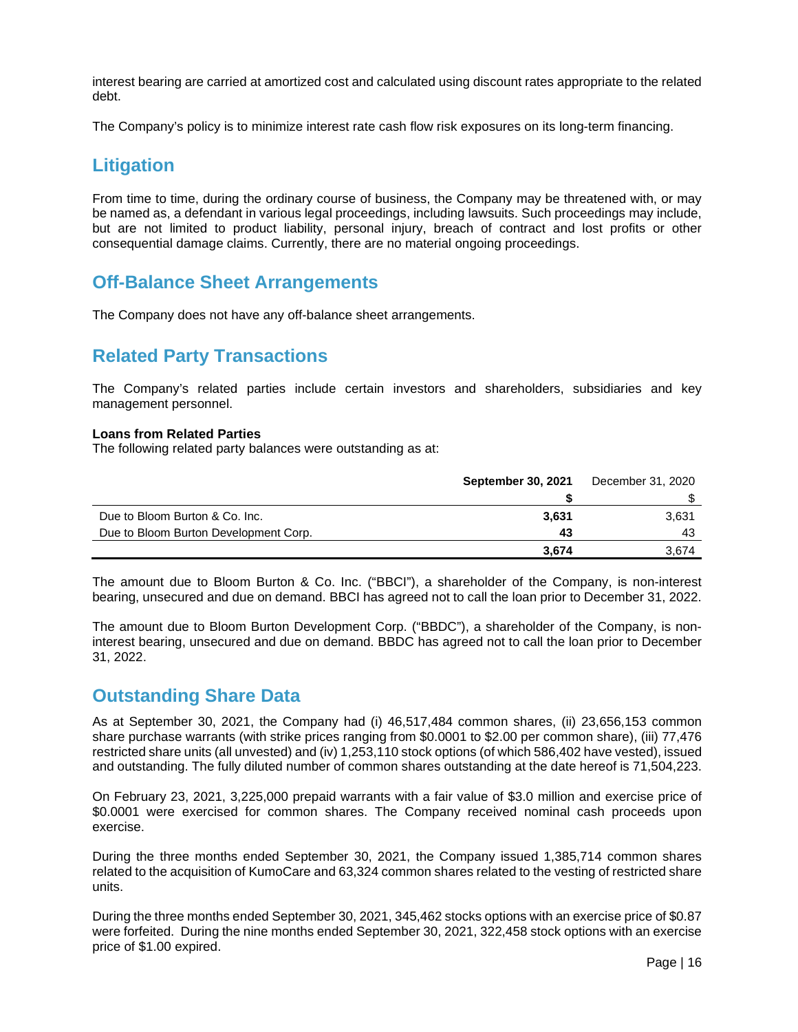interest bearing are carried at amortized cost and calculated using discount rates appropriate to the related debt.

The Company's policy is to minimize interest rate cash flow risk exposures on its long-term financing.

## **Litigation**

From time to time, during the ordinary course of business, the Company may be threatened with, or may be named as, a defendant in various legal proceedings, including lawsuits. Such proceedings may include, but are not limited to product liability, personal injury, breach of contract and lost profits or other consequential damage claims. Currently, there are no material ongoing proceedings.

## **Off-Balance Sheet Arrangements**

The Company does not have any off-balance sheet arrangements.

## **Related Party Transactions**

The Company's related parties include certain investors and shareholders, subsidiaries and key management personnel.

## **Loans from Related Parties**

The following related party balances were outstanding as at:

|                                       | <b>September 30, 2021</b> | December 31, 2020 |
|---------------------------------------|---------------------------|-------------------|
|                                       |                           |                   |
| Due to Bloom Burton & Co. Inc.        | 3.631                     | 3,631             |
| Due to Bloom Burton Development Corp. | 43                        | 43                |
|                                       | 3,674                     | 3.674             |

The amount due to Bloom Burton & Co. Inc. ("BBCI"), a shareholder of the Company, is non-interest bearing, unsecured and due on demand. BBCI has agreed not to call the loan prior to December 31, 2022.

The amount due to Bloom Burton Development Corp. ("BBDC"), a shareholder of the Company, is noninterest bearing, unsecured and due on demand. BBDC has agreed not to call the loan prior to December 31, 2022.

## **Outstanding Share Data**

As at September 30, 2021, the Company had (i) 46,517,484 common shares, (ii) 23,656,153 common share purchase warrants (with strike prices ranging from \$0.0001 to \$2.00 per common share), (iii) 77,476 restricted share units (all unvested) and (iv) 1,253,110 stock options (of which 586,402 have vested), issued and outstanding. The fully diluted number of common shares outstanding at the date hereof is 71,504,223.

On February 23, 2021, 3,225,000 prepaid warrants with a fair value of \$3.0 million and exercise price of \$0.0001 were exercised for common shares. The Company received nominal cash proceeds upon exercise.

During the three months ended September 30, 2021, the Company issued 1,385,714 common shares related to the acquisition of KumoCare and 63,324 common shares related to the vesting of restricted share units.

During the three months ended September 30, 2021, 345,462 stocks options with an exercise price of \$0.87 were forfeited. During the nine months ended September 30, 2021, 322,458 stock options with an exercise price of \$1.00 expired.